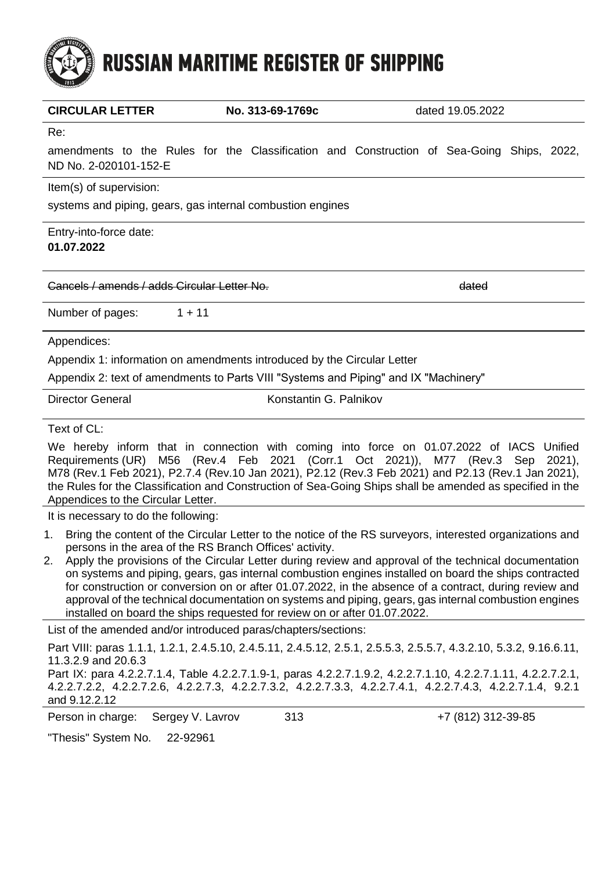# **RUSSIAN MARITIME REGISTER OF SHIPPING**

| <b>CIRCULAR LETTER</b>                                                                                             | No. 313-69-1769c |                        | dated 19.05.2022 |  |  |  |  |  |
|--------------------------------------------------------------------------------------------------------------------|------------------|------------------------|------------------|--|--|--|--|--|
| Re:                                                                                                                |                  |                        |                  |  |  |  |  |  |
| amendments to the Rules for the Classification and Construction of Sea-Going Ships, 2022,<br>ND No. 2-020101-152-E |                  |                        |                  |  |  |  |  |  |
| Item(s) of supervision:                                                                                            |                  |                        |                  |  |  |  |  |  |
| systems and piping, gears, gas internal combustion engines                                                         |                  |                        |                  |  |  |  |  |  |
| Entry-into-force date:<br>01.07.2022                                                                               |                  |                        |                  |  |  |  |  |  |
| Cancels / amends / adds Circular Letter No                                                                         |                  |                        | dated            |  |  |  |  |  |
| Number of pages:                                                                                                   | $1 + 11$         |                        |                  |  |  |  |  |  |
| Appendices:                                                                                                        |                  |                        |                  |  |  |  |  |  |
| Appendix 1: information on amendments introduced by the Circular Letter                                            |                  |                        |                  |  |  |  |  |  |
| Appendix 2: text of amendments to Parts VIII "Systems and Piping" and IX "Machinery"                               |                  |                        |                  |  |  |  |  |  |
| <b>Director General</b>                                                                                            |                  | Konstantin G. Palnikov |                  |  |  |  |  |  |

Text of CL:

We hereby inform that in connection with coming into force on 01.07.2022 of IACS Unified Requirements (UR) M56 (Rev.4 Feb 2021 (Corr.1 Oct 2021)), M77 (Rev.3 Sep 2021), M78 (Rev.1 Feb 2021), P2.7.4 (Rev.10 Jan 2021), P2.12 (Rev.3 Feb 2021) and P2.13 (Rev.1 Jan 2021), the Rules for the Classification and Construction of Sea-Going Ships shall be amended as specified in the Appendices to the Circular Letter.

It is necessary to do the following:

- 1. Bring the content of the Circular Letter to the notice of the RS surveyors, interested organizations and persons in the area of the RS Branch Offices' activity.
- 2. Apply the provisions of the Circular Letter during review and approval of the technical documentation on systems and piping, gears, gas internal combustion engines installed on board the ships contracted for construction or conversion on or after 01.07.2022, in the absence of a contract, during review and approval of the technical documentation on systems and piping, gears, gas internal combustion engines installed on board the ships requested for review on or after 01.07.2022.

List of the amended and/or introduced paras/chapters/sections:

Part VIII: paras 1.1.1, 1.2.1, 2.4.5.10, 2.4.5.11, 2.4.5.12, 2.5.1, 2.5.5.3, 2.5.5.7, 4.3.2.10, 5.3.2, 9.16.6.11, 11.3.2.9 and 20.6.3

Part IX: para 4.2.2.7.1.4, Table 4.2.2.7.1.9-1, paras 4.2.2.7.1.9.2, 4.2.2.7.1.10, 4.2.2.7.1.11, 4.2.2.7.2.1, 4.2.2.7.2.2, 4.2.2.7.2.6, 4.2.2.7.3, 4.2.2.7.3.2, 4.2.2.7.3.3, 4.2.2.7.4.1, 4.2.2.7.4.3, 4.2.2.7.1.4, 9.2.1 and 9.12.2.12

Person in charge: Sergey V. Lavrov 313 +7 (812) 312-39-85

"Thesis" System No. 22-92961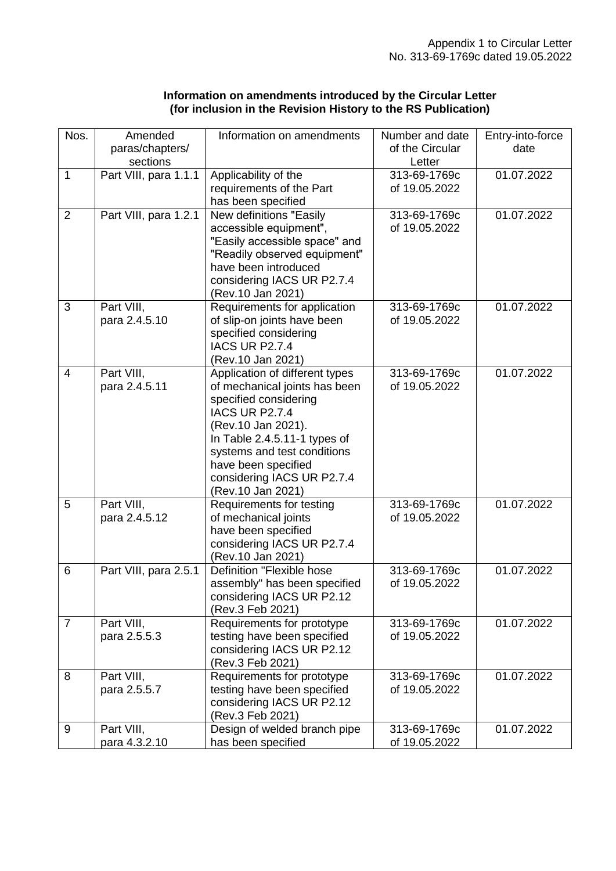### **Information on amendments introduced by the Circular Letter (for inclusion in the Revision History to the RS Publication)**

| Nos.             | Amended               | Information on amendments                                     | Number and date | Entry-into-force |
|------------------|-----------------------|---------------------------------------------------------------|-----------------|------------------|
|                  | paras/chapters/       |                                                               | of the Circular | date             |
|                  | sections              |                                                               | Letter          |                  |
| $\mathbf{1}$     | Part VIII, para 1.1.1 | Applicability of the                                          | 313-69-1769c    | 01.07.2022       |
|                  |                       | requirements of the Part                                      | of 19.05.2022   |                  |
|                  |                       | has been specified                                            |                 |                  |
| $\overline{2}$   | Part VIII, para 1.2.1 | New definitions "Easily                                       | 313-69-1769c    | 01.07.2022       |
|                  |                       | accessible equipment",                                        | of 19.05.2022   |                  |
|                  |                       | "Easily accessible space" and<br>"Readily observed equipment" |                 |                  |
|                  |                       | have been introduced                                          |                 |                  |
|                  |                       | considering IACS UR P2.7.4                                    |                 |                  |
|                  |                       | (Rev.10 Jan 2021)                                             |                 |                  |
| 3                | Part VIII,            | Requirements for application                                  | 313-69-1769c    | 01.07.2022       |
|                  | para 2.4.5.10         | of slip-on joints have been                                   | of 19.05.2022   |                  |
|                  |                       | specified considering                                         |                 |                  |
|                  |                       | <b>IACS UR P2.7.4</b>                                         |                 |                  |
|                  |                       | (Rev.10 Jan 2021)                                             |                 |                  |
| $\overline{4}$   | Part VIII,            | Application of different types                                | 313-69-1769c    | 01.07.2022       |
|                  | para 2.4.5.11         | of mechanical joints has been                                 | of 19.05.2022   |                  |
|                  |                       | specified considering                                         |                 |                  |
|                  |                       | <b>IACS UR P2.7.4</b>                                         |                 |                  |
|                  |                       | (Rev.10 Jan 2021).                                            |                 |                  |
|                  |                       | In Table 2.4.5.11-1 types of                                  |                 |                  |
|                  |                       | systems and test conditions                                   |                 |                  |
|                  |                       | have been specified                                           |                 |                  |
|                  |                       | considering IACS UR P2.7.4<br>(Rev.10 Jan 2021)               |                 |                  |
| 5                | Part VIII,            | Requirements for testing                                      | 313-69-1769c    | 01.07.2022       |
|                  | para 2.4.5.12         | of mechanical joints                                          | of 19.05.2022   |                  |
|                  |                       | have been specified                                           |                 |                  |
|                  |                       | considering IACS UR P2.7.4                                    |                 |                  |
|                  |                       | (Rev.10 Jan 2021)                                             |                 |                  |
| 6                | Part VIII, para 2.5.1 | Definition "Flexible hose                                     | 313-69-1769c    | 01.07.2022       |
|                  |                       | assembly" has been specified                                  | of 19.05.2022   |                  |
|                  |                       | considering IACS UR P2.12                                     |                 |                  |
|                  |                       | (Rev.3 Feb 2021)                                              |                 |                  |
| $\overline{7}$   | Part VIII,            | Requirements for prototype                                    | 313-69-1769c    | 01.07.2022       |
|                  | para 2.5.5.3          | testing have been specified                                   | of 19.05.2022   |                  |
|                  |                       | considering IACS UR P2.12                                     |                 |                  |
|                  |                       | (Rev.3 Feb 2021)                                              |                 |                  |
| 8                | Part VIII,            | Requirements for prototype                                    | 313-69-1769c    | 01.07.2022       |
|                  | para 2.5.5.7          | testing have been specified                                   | of 19.05.2022   |                  |
|                  |                       | considering IACS UR P2.12<br>(Rev.3 Feb 2021)                 |                 |                  |
| $\boldsymbol{9}$ | Part VIII,            | Design of welded branch pipe                                  | 313-69-1769c    | 01.07.2022       |
|                  | para 4.3.2.10         | has been specified                                            | of 19.05.2022   |                  |
|                  |                       |                                                               |                 |                  |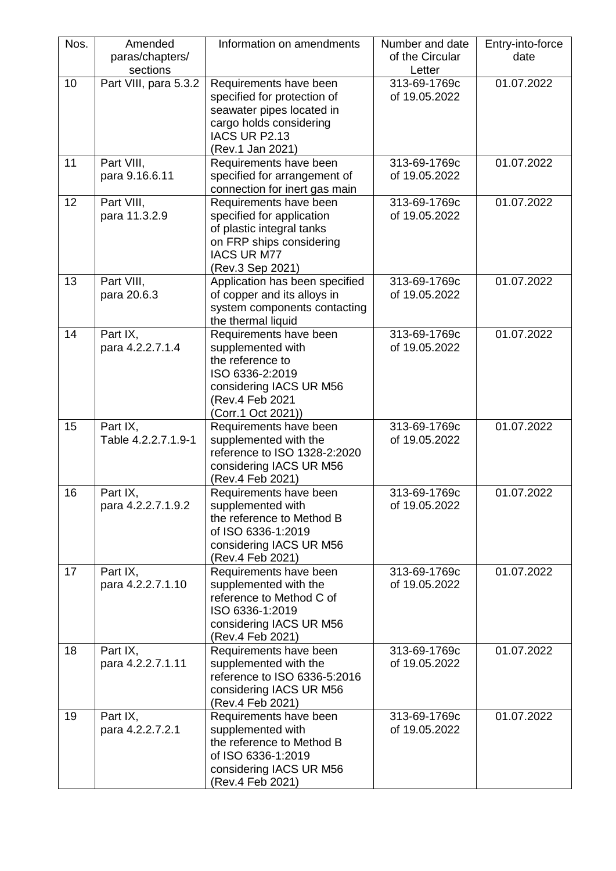| Nos. | Amended<br>paras/chapters/<br>sections | Information on amendments                                                                                                                              | Number and date<br>of the Circular<br>Letter | Entry-into-force<br>date |
|------|----------------------------------------|--------------------------------------------------------------------------------------------------------------------------------------------------------|----------------------------------------------|--------------------------|
| 10   | Part VIII, para 5.3.2                  | Requirements have been<br>specified for protection of<br>seawater pipes located in<br>cargo holds considering<br>IACS UR P2.13<br>(Rev.1 Jan 2021)     | 313-69-1769c<br>of 19.05.2022                | 01.07.2022               |
| 11   | Part VIII,<br>para 9.16.6.11           | Requirements have been<br>specified for arrangement of<br>connection for inert gas main                                                                | 313-69-1769c<br>of 19.05.2022                | 01.07.2022               |
| 12   | Part VIII,<br>para 11.3.2.9            | Requirements have been<br>specified for application<br>of plastic integral tanks<br>on FRP ships considering<br><b>IACS UR M77</b><br>(Rev.3 Sep 2021) | 313-69-1769c<br>of 19.05.2022                | 01.07.2022               |
| 13   | Part VIII,<br>para 20.6.3              | Application has been specified<br>of copper and its alloys in<br>system components contacting<br>the thermal liquid                                    | 313-69-1769c<br>of 19.05.2022                | 01.07.2022               |
| 14   | Part IX,<br>para 4.2.2.7.1.4           | Requirements have been<br>supplemented with<br>the reference to<br>ISO 6336-2:2019<br>considering IACS UR M56<br>(Rev.4 Feb 2021<br>(Corr.1 Oct 2021)) | 313-69-1769c<br>of 19.05.2022                | 01.07.2022               |
| 15   | Part IX,<br>Table 4.2.2.7.1.9-1        | Requirements have been<br>supplemented with the<br>reference to ISO 1328-2:2020<br>considering IACS UR M56<br>(Rev.4 Feb 2021)                         | 313-69-1769c<br>of 19.05.2022                | 01.07.2022               |
| 16   | Part IX,<br>para 4.2.2.7.1.9.2         | Requirements have been<br>supplemented with<br>the reference to Method B<br>of ISO 6336-1:2019<br>considering IACS UR M56<br>(Rev.4 Feb 2021)          | 313-69-1769c<br>of 19.05.2022                | 01.07.2022               |
| 17   | Part IX,<br>para 4.2.2.7.1.10          | Requirements have been<br>supplemented with the<br>reference to Method C of<br>ISO 6336-1:2019<br>considering IACS UR M56<br>(Rev.4 Feb 2021)          | 313-69-1769c<br>of 19.05.2022                | 01.07.2022               |
| 18   | Part IX,<br>para 4.2.2.7.1.11          | Requirements have been<br>supplemented with the<br>reference to ISO 6336-5:2016<br>considering IACS UR M56<br>(Rev.4 Feb 2021)                         | 313-69-1769c<br>of 19.05.2022                | 01.07.2022               |
| 19   | Part IX,<br>para 4.2.2.7.2.1           | Requirements have been<br>supplemented with<br>the reference to Method B<br>of ISO 6336-1:2019<br>considering IACS UR M56<br>(Rev.4 Feb 2021)          | 313-69-1769c<br>of 19.05.2022                | 01.07.2022               |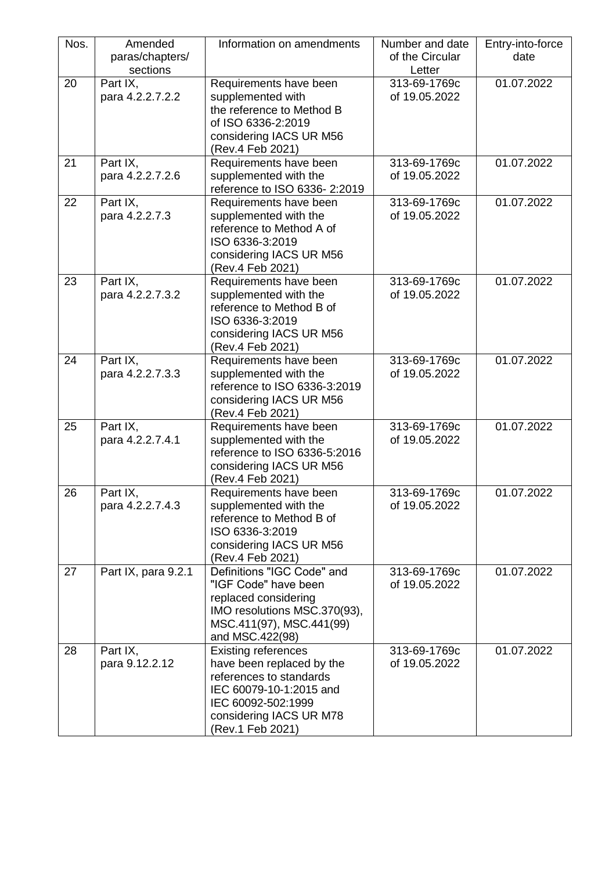| Nos. | Amended<br>paras/chapters/<br>sections | Information on amendments                                                                                                                                                          | Number and date<br>of the Circular<br>Letter | Entry-into-force<br>date |
|------|----------------------------------------|------------------------------------------------------------------------------------------------------------------------------------------------------------------------------------|----------------------------------------------|--------------------------|
| 20   | Part IX,<br>para 4.2.2.7.2.2           | Requirements have been<br>supplemented with<br>the reference to Method B<br>of ISO 6336-2:2019<br>considering IACS UR M56<br>(Rev.4 Feb 2021)                                      | 313-69-1769c<br>of 19.05.2022                | 01.07.2022               |
| 21   | Part IX,<br>para 4.2.2.7.2.6           | Requirements have been<br>supplemented with the<br>reference to ISO 6336-2:2019                                                                                                    | 313-69-1769c<br>of 19.05.2022                | 01.07.2022               |
| 22   | Part IX,<br>para 4.2.2.7.3             | Requirements have been<br>supplemented with the<br>reference to Method A of<br>ISO 6336-3:2019<br>considering IACS UR M56<br>(Rev.4 Feb 2021)                                      | 313-69-1769c<br>of 19.05.2022                | 01.07.2022               |
| 23   | Part IX,<br>para 4.2.2.7.3.2           | Requirements have been<br>supplemented with the<br>reference to Method B of<br>ISO 6336-3:2019<br>considering IACS UR M56<br>(Rev.4 Feb 2021)                                      | 313-69-1769c<br>of 19.05.2022                | 01.07.2022               |
| 24   | Part IX,<br>para 4.2.2.7.3.3           | Requirements have been<br>supplemented with the<br>reference to ISO 6336-3:2019<br>considering IACS UR M56<br>(Rev.4 Feb 2021)                                                     | 313-69-1769c<br>of 19.05.2022                | 01.07.2022               |
| 25   | Part IX,<br>para 4.2.2.7.4.1           | Requirements have been<br>supplemented with the<br>reference to ISO 6336-5:2016<br>considering IACS UR M56<br>(Rev.4 Feb 2021)                                                     | 313-69-1769c<br>of 19.05.2022                | 01.07.2022               |
| 26   | Part IX,<br>para 4.2.2.7.4.3           | Requirements have been<br>supplemented with the<br>reference to Method B of<br>ISO 6336-3:2019<br>considering IACS UR M56<br>(Rev.4 Feb 2021)                                      | 313-69-1769c<br>of 19.05.2022                | 01.07.2022               |
| 27   | Part IX, para 9.2.1                    | Definitions "IGC Code" and<br>"IGF Code" have been<br>replaced considering<br>IMO resolutions MSC.370(93),<br>MSC.411(97), MSC.441(99)<br>and MSC.422(98)                          | 313-69-1769c<br>of 19.05.2022                | 01.07.2022               |
| 28   | Part IX,<br>para 9.12.2.12             | <b>Existing references</b><br>have been replaced by the<br>references to standards<br>IEC 60079-10-1:2015 and<br>IEC 60092-502:1999<br>considering IACS UR M78<br>(Rev.1 Feb 2021) | 313-69-1769c<br>of 19.05.2022                | 01.07.2022               |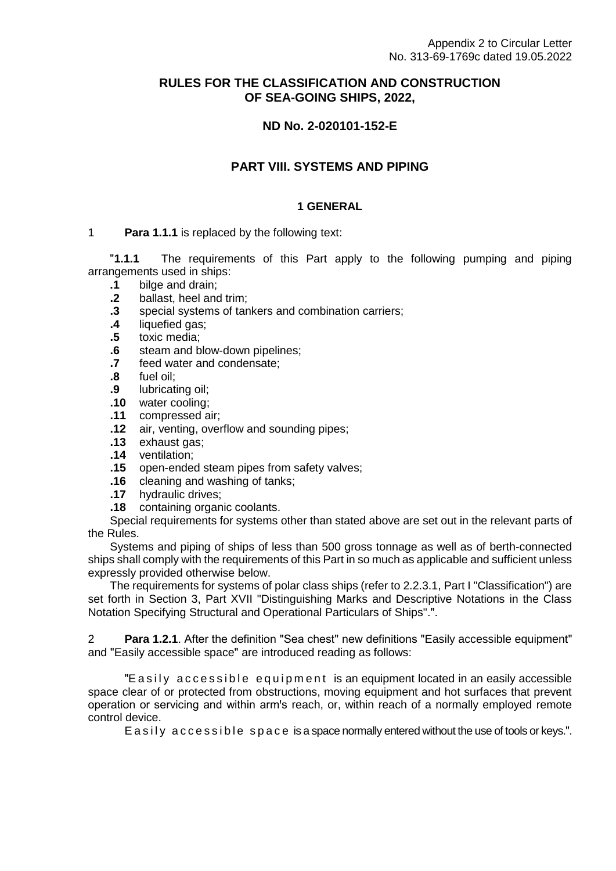# **RULES FOR THE CLASSIFICATION AND CONSTRUCTION OF SEA-GOING SHIPS, 2022,**

# **ND No. 2-020101-152-E**

# **PART VIII. SYSTEMS AND PIPING**

# **1 GENERAL**

#### 1 **Para 1.1.1** is replaced by the following text:

ʺ**1.1.1** The requirements of this Part apply to the following pumping and piping arrangements used in ships:

- **.1** bilge and drain;
- **.2** ballast, heel and trim;
- **.3** special systems of tankers and combination carriers;
- **.4** liquefied gas;
- **.5** toxic media;
- **.6** steam and blow-down pipelines;
- **.7** feed water and condensate;
- **.8** fuel oil;
- **.9** lubricating oil;
- **.10** water cooling;
- **.11** compressed air;
- **.12** air, venting, overflow and sounding pipes;
- **.13** exhaust gas;
- **.14** ventilation;
- **.15** open-ended steam pipes from safety valves;
- **.16** cleaning and washing of tanks;
- **.17** hydraulic drives;
- **.18** containing organic coolants.

Special requirements for systems other than stated above are set out in the relevant parts of the Rules.

Systems and piping of ships of less than 500 gross tonnage as well as of berth-connected ships shall comply with the requirements of this Part in so much as applicable and sufficient unless expressly provided otherwise below.

The requirements for systems of polar class ships (refer to 2.2.3.1, Part I "Classification") are set forth in Section 3, Part XVII "Distinguishing Marks and Descriptive Notations in the Class Notation Specifying Structural and Operational Particulars of Ships".".

2 **Para 1.2.1**. After the definition "Sea chest" new definitions "Easily accessible equipment" and "Easily accessible space" are introduced reading as follows:

"E a sily accessible equipment is an equipment located in an easily accessible space clear of or protected from obstructions, moving equipment and hot surfaces that prevent operation or servicing and within arm's reach, or, within reach of a normally employed remote control device.

E a sily accessible space is a space normally entered without the use of tools or keys.".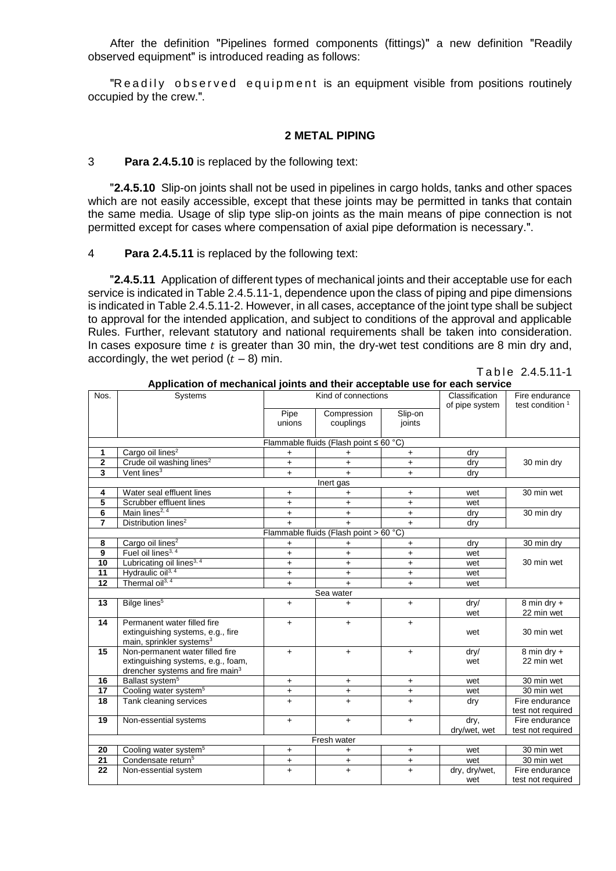After the definition "Pipelines formed components (fittings)" a new definition "Readily observed equipment" is introduced reading as follows:

"Readily observed equipment is an equipment visible from positions routinely occupied by the crew.".

#### **2 METAL PIPING**

#### 3 **Para 2.4.5.10** is replaced by the following text:

ʺ**2.4.5.10** Slip-on joints shall not be used in pipelines in cargo holds, tanks and other spaces which are not easily accessible, except that these joints may be permitted in tanks that contain the same media. Usage of slip type slip-on joints as the main means of pipe connection is not permitted except for cases where compensation of axial pipe deformation is necessary.".

#### 4 **Para 2.4.5.11** is replaced by the following text:

ʺ**2.4.5.11** Application of different types of mechanical joints and their acceptable use for each service is indicated in Table 2.4.5.11-1, dependence upon the class of piping and pipe dimensions is indicated in Table 2.4.5.11-2. However, in all cases, acceptance of the joint type shall be subject to approval for the intended application, and subject to conditions of the approval and applicable Rules. Further, relevant statutory and national requirements shall be taken into consideration. In cases exposure time  $t$  is greater than 30 min, the dry-wet test conditions are 8 min dry and, accordingly, the wet period  $(t - 8)$  min.

> $Table 2.4.5.11-1$ **Application of mechanical joints and their acceptable use for each service**

| Nos.           | Systems                                     | Kind of connections |                                              |                      | Classification  | Fire endurance              |
|----------------|---------------------------------------------|---------------------|----------------------------------------------|----------------------|-----------------|-----------------------------|
|                |                                             | Pipe                | Compression                                  | Slip-on              | of pipe system  | test condition <sup>1</sup> |
|                |                                             | unions              | couplings                                    | joints               |                 |                             |
|                |                                             |                     |                                              |                      |                 |                             |
|                |                                             |                     | Flammable fluids (Flash point $\leq 60 °C$ ) |                      |                 |                             |
| 1              | Cargo oil lines <sup>2</sup>                | +                   | +                                            | $+$                  | dry             |                             |
| $\mathbf 2$    | Crude oil washing lines <sup>2</sup>        | $+$                 | $\ddot{}$                                    | $+$                  | dry             | 30 min dry                  |
| 3              | Vent lines <sup>3</sup>                     | $+$                 | $+$                                          | $+$                  | dry             |                             |
|                |                                             |                     | Inert gas                                    |                      |                 |                             |
| 4              | Water seal effluent lines                   | $\ddot{}$           | $\ddot{}$                                    | $\ddot{}$            | wet             | 30 min wet                  |
| 5              | Scrubber effluent lines                     | $\ddot{}$           | $+$                                          | $\ddot{}$            | wet             |                             |
| 6              | Main lines <sup>2, 4</sup>                  | $+$                 | $+$                                          | $\ddot{}$            | dry             | 30 min dry                  |
| $\overline{7}$ | Distribution lines <sup>2</sup>             | $+$                 | $+$                                          | $+$                  | dry             |                             |
|                |                                             |                     | Flammable fluids (Flash point > 60 °C)       |                      |                 |                             |
| 8              | Cargo oil lines <sup>2</sup>                | $\ddot{}$           | +                                            | $\ddot{}$            | dry             | 30 min dry                  |
| 9              | Fuel oil lines <sup>3, 4</sup>              | $\ddot{}$           | $\ddot{}$                                    | $\ddot{\phantom{1}}$ | wet             |                             |
| 10             | Lubricating oil lines <sup>3, 4</sup>       | $+$                 | $+$                                          | $+$                  | wet             | 30 min wet                  |
| 11             | Hydraulic oil <sup>3, 4</sup>               | $+$                 | $+$                                          | $+$                  | wet             |                             |
| 12             | Thermal oil <sup>3, 4</sup>                 | $+$                 | $+$                                          | $+$                  | wet             |                             |
|                |                                             |                     | Sea water                                    |                      |                 |                             |
| 13             | Bilge lines <sup>5</sup>                    | $\ddot{}$           | $\ddot{}$                                    | $+$                  | $\frac{dry}{ }$ | 8 min dry $+$               |
|                |                                             |                     |                                              |                      | wet             | 22 min wet                  |
| 14             | Permanent water filled fire                 | $\ddot{}$           | $+$                                          | +                    |                 |                             |
|                | extinguishing systems, e.g., fire           |                     |                                              |                      | wet             | 30 min wet                  |
|                | main, sprinkler systems <sup>3</sup>        |                     |                                              |                      |                 |                             |
| 15             | Non-permanent water filled fire             | $+$                 | $+$                                          | $\ddot{}$            | $\frac{dry}{ }$ | 8 min dry +                 |
|                | extinguishing systems, e.g., foam,          |                     |                                              |                      | wet             | 22 min wet                  |
|                | drencher systems and fire main <sup>3</sup> |                     |                                              |                      |                 |                             |
| 16             | Ballast system <sup>5</sup>                 | $+$                 | $+$                                          | $\ddot{}$            | wet             | 30 min wet                  |
| 17             | Cooling water system <sup>5</sup>           | +                   | $\ddot{}$                                    | $\ddot{}$            | wet             | 30 min wet                  |
| 18             | Tank cleaning services                      | $\ddot{}$           | $\ddot{}$                                    | $\ddot{}$            | dry             | Fire endurance              |
|                |                                             |                     |                                              |                      |                 | test not required           |
| 19             | Non-essential systems                       | $+$                 | $\ddot{}$                                    | $+$                  | dry,            | Fire endurance              |
|                |                                             |                     |                                              |                      | dry/wet, wet    | test not required           |
|                |                                             |                     | Fresh water                                  |                      |                 |                             |
| 20             | Cooling water system <sup>5</sup>           | $+$                 | $\ddot{}$                                    | +                    | wet             | 30 min wet                  |
| 21             | Condensate return <sup>5</sup>              | $+$                 | $\ddot{}$                                    | $\ddot{}$            | wet             | 30 min wet                  |
| 22             | Non-essential system                        | $+$                 | $\ddot{}$                                    | $\ddot{}$            | dry, dry/wet,   | Fire endurance              |
|                |                                             |                     |                                              |                      | wet             | test not required           |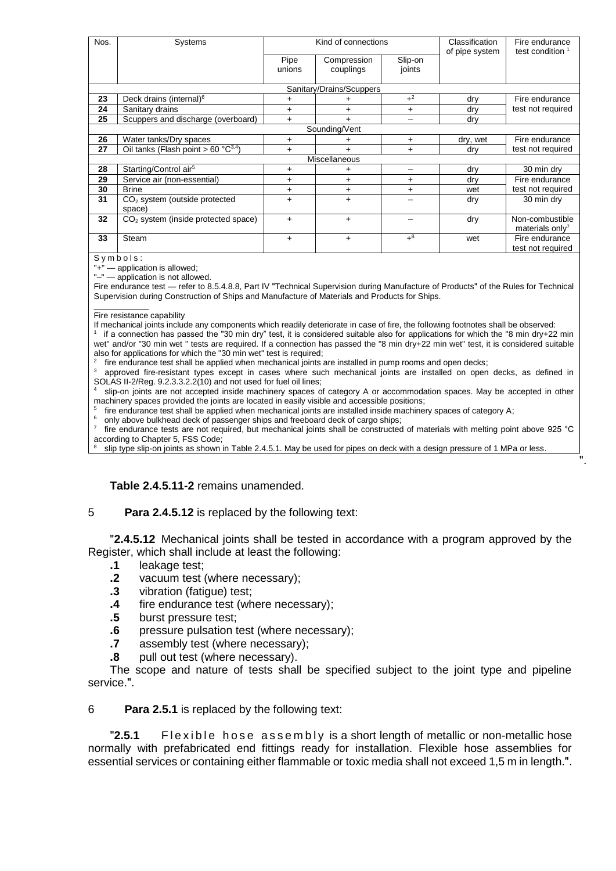| Nos. | Systems                                   | Kind of connections |                          |                          | Classification<br>of pipe system | Fire endurance<br>test condition <sup>1</sup>  |
|------|-------------------------------------------|---------------------|--------------------------|--------------------------|----------------------------------|------------------------------------------------|
|      |                                           | Pipe<br>unions      | Compression<br>couplings | Slip-on<br>joints        |                                  |                                                |
|      |                                           |                     | Sanitary/Drains/Scuppers |                          |                                  |                                                |
| 23   | Deck drains (internal) <sup>6</sup>       |                     |                          | $+2$                     | drv                              | Fire endurance                                 |
| 24   | Sanitary drains                           | $+$                 | $\ddot{}$                | $+$                      | dry                              | test not required                              |
| 25   | Scuppers and discharge (overboard)        | $\ddot{}$           | $\ddot{}$                | $\overline{\phantom{0}}$ | dry                              |                                                |
|      |                                           |                     | Sounding/Vent            |                          |                                  |                                                |
| 26   | Water tanks/Dry spaces                    | $\ddot{}$           |                          | $\ddot{}$                | dry, wet                         | Fire endurance                                 |
| 27   | Oil tanks (Flash point > 60 $°C^{3,4}$ )  | $+$                 | $\ddot{}$                | $\ddot{}$                | dry                              | test not required                              |
|      |                                           |                     | <b>Miscellaneous</b>     |                          |                                  |                                                |
| 28   | Starting/Control air <sup>5</sup>         | +                   | $\ddot{}$                |                          | dry                              | 30 min dry                                     |
| 29   | Service air (non-essential)               | $+$                 | $\ddot{}$                | $\ddot{}$                | dry                              | Fire endurance                                 |
| 30   | <b>Brine</b>                              | $\ddot{}$           | +                        | $\ddot{}$                | wet                              | test not required                              |
| 31   | $CO2$ system (outside protected<br>space) | $+$                 | $\ddot{}$                |                          | dry                              | 30 min dry                                     |
| 32   | $CO2$ system (inside protected space)     | $+$                 | $+$                      |                          | dry                              | Non-combustible<br>materials only <sup>7</sup> |
| 33   | Steam<br>$\sim$                           | $\ddot{}$           | $\ddot{}$                | $+8$                     | wet                              | Fire endurance<br>test not required            |

 $Symbo\overline{ls:}$ 

 $"+"$  — application is allowed; "-" — application is not allowed.

Fire endurance test - refer to 8.5.4.8.8, Part IV "Technical Supervision during Manufacture of Products" of the Rules for Technical Supervision during Construction of Ships and Manufacture of Materials and Products for Ships.

#### \_\_\_\_\_\_\_\_\_\_\_\_ Fire resistance capability

If mechanical joints include any components which readily deteriorate in case of fire, the following footnotes shall be observed: 1 if a connection has passed the "30 min dry" test, it is considered suitable also for applications for which the "8 min dry+22 min wet" and/or "30 min wet " tests are required. If a connection has passed the "8 min dry+22 min wet" test, it is considered suitable also for applications for which the "30 min wet" test is required;

2 fire endurance test shall be applied when mechanical joints are installed in pump rooms and open decks;

approved fire-resistant types except in cases where such mechanical joints are installed on open decks, as defined in SOLAS II-2/Reg. 9.2.3.3.2.2(10) and not used for fuel oil lines;

slip-on joints are not accepted inside machinery spaces of category A or accommodation spaces. May be accepted in other machinery spaces provided the joints are located in easily visible and accessible positions;

5 fire endurance test shall be applied when mechanical joints are installed inside machinery spaces of category A;

only above bulkhead deck of passenger ships and freeboard deck of cargo ships;

7 fire endurance tests are not required, but mechanical joints shall be constructed of materials with melting point above 925 °C according to Chapter 5, FSS Code;

ʺ.

slip type slip-on joints as shown in Table 2.4.5.1. May be used for pipes on deck with a design pressure of 1 MPa or less.

#### **Table 2.4.5.11-2** remains unamended.

#### 5 **Para 2.4.5.12** is replaced by the following text:

ʺ**2.4.5.12** Mechanical joints shall be tested in accordance with a program approved by the Register, which shall include at least the following:

- **.1** leakage test;
- **.2** vacuum test (where necessary);
- **.3** vibration (fatigue) test;
- **.4** fire endurance test (where necessary);
- **.5** burst pressure test;
- **.6** pressure pulsation test (where necessary);
- **.7** assembly test (where necessary);
- **.8** pull out test (where necessary).

The scope and nature of tests shall be specified subject to the joint type and pipeline service.".

6 **Para 2.5.1** is replaced by the following text:

**"2.5.1** Flexible hose assembly is a short length of metallic or non-metallic hose normally with prefabricated end fittings ready for installation. Flexible hose assemblies for essential services or containing either flammable or toxic media shall not exceed 1,5 m in length.".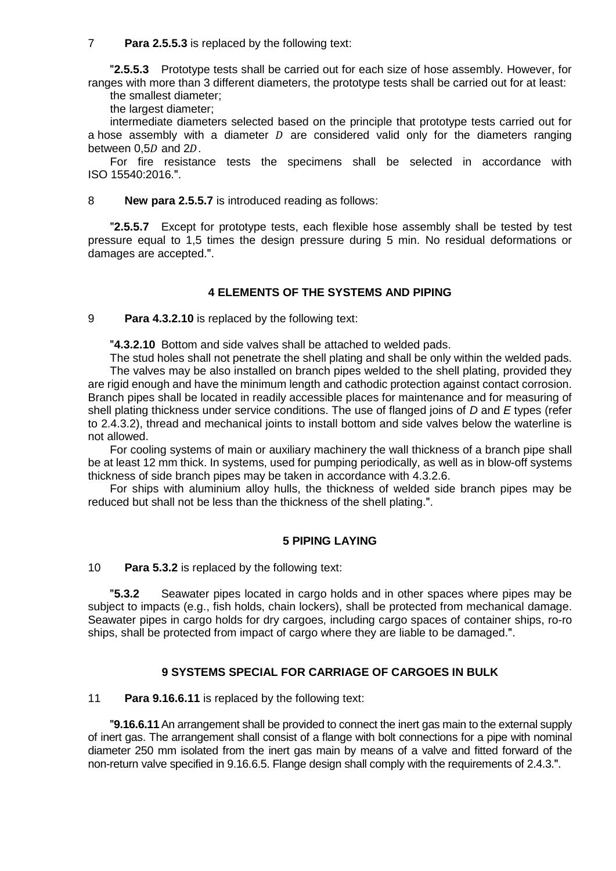7 **Para 2.5.5.3** is replaced by the following text:

ʺ**2.5.5.3** Prototype tests shall be carried out for each size of hose assembly. However, for ranges with more than 3 different diameters, the prototype tests shall be carried out for at least:

the smallest diameter; the largest diameter;

intermediate diameters selected based on the principle that prototype tests carried out for a hose assembly with a diameter  $D$  are considered valid only for the diameters ranging between  $0.5D$  and  $2D$ .

For fire resistance tests the specimens shall be selected in accordance with ISO 15540:2016.".

8 **New para 2.5.5.7** is introduced reading as follows:

**2.5.5.7** Except for prototype tests, each flexible hose assembly shall be tested by test pressure equal to 1,5 times the design pressure during 5 min. No residual deformations or damages are accepted.".

# **4 ELEMENTS OF THE SYSTEMS AND PIPING**

9 **Para 4.3.2.10** is replaced by the following text:

**4.3.2.10** Bottom and side valves shall be attached to welded pads.

The stud holes shall not penetrate the shell plating and shall be only within the welded pads. The valves may be also installed on branch pipes welded to the shell plating, provided they are rigid enough and have the minimum length and cathodic protection against contact corrosion. Branch pipes shall be located in readily accessible places for maintenance and for measuring of shell plating thickness under service conditions. The use of flanged joins of *D* and *E* types (refer to 2.4.3.2), thread and mechanical joints to install bottom and side valves below the waterline is not allowed.

For cooling systems of main or auxiliary machinery the wall thickness of a branch pipe shall be at least 12 mm thick. In systems, used for pumping periodically, as well as in blow-off systems thickness of side branch pipes may be taken in accordance with 4.3.2.6.

For ships with aluminium alloy hulls, the thickness of welded side branch pipes may be reduced but shall not be less than the thickness of the shell plating.".

# **5 PIPING LAYING**

10 **Para 5.3.2** is replaced by the following text:

ʺ**5.3.2** Seawater pipes located in cargo holds and in other spaces where pipes may be subject to impacts (e.g., fish holds, chain lockers), shall be protected from mechanical damage. Seawater pipes in cargo holds for dry cargoes, including cargo spaces of container ships, ro-ro ships, shall be protected from impact of cargo where they are liable to be damaged.".

# **9 SYSTEMS SPECIAL FOR CARRIAGE OF CARGOES IN BULK**

11 **Para 9.16.6.11** is replaced by the following text:

ʺ**9.16.6.11**An arrangement shall be provided to connect the inert gas main to the external supply of inert gas. The arrangement shall consist of a flange with bolt connections for a pipe with nominal diameter 250 mm isolated from the inert gas main by means of a valve and fitted forward of the non-return valve specified in 9.16.6.5. Flange design shall comply with the requirements of 2.4.3.".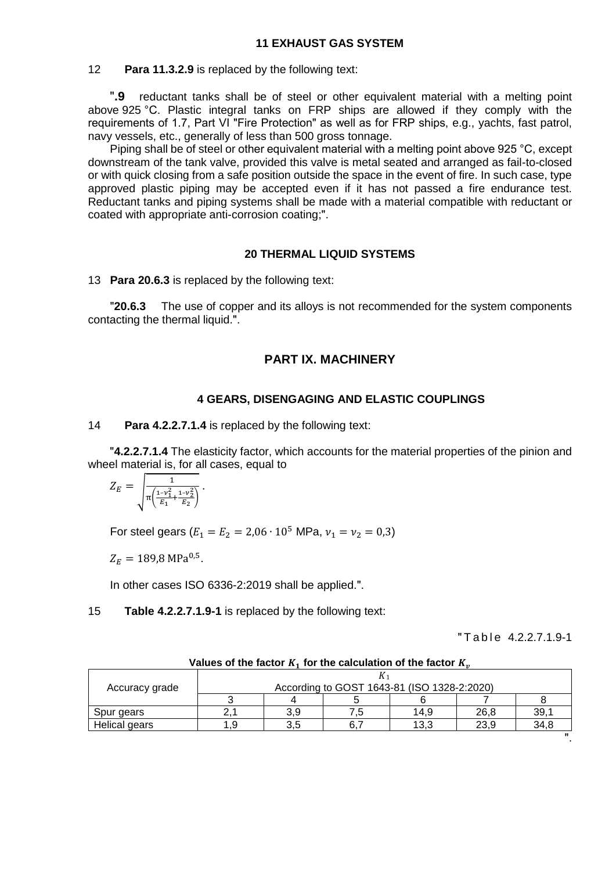#### 12 **Para 11.3.2.9** is replaced by the following text:

ʺ**.9** reductant tanks shall be of steel or other equivalent material with a melting point above 925 °C. Plastic integral tanks on FRP ships are allowed if they comply with the requirements of 1.7, Part VI "Fire Protection" as well as for FRP ships, e.g., yachts, fast patrol, navy vessels, etc., generally of less than 500 gross tonnage.

Piping shall be of steel or other equivalent material with a melting point above 925 °C, except downstream of the tank valve, provided this valve is metal seated and arranged as fail-to-closed or with quick closing from a safe position outside the space in the event of fire. In such case, type approved plastic piping may be accepted even if it has not passed a fire endurance test. Reductant tanks and piping systems shall be made with a material compatible with reductant or coated with appropriate anti-corrosion coating;".

### **20 THERMAL LIQUID SYSTEMS**

13 **Para 20.6.3** is replaced by the following text:

**"20.6.3** The use of copper and its alloys is not recommended for the system components contacting the thermal liquid.".

# **PART IX. MACHINERY**

#### **4 GEARS, DISENGAGING AND ELASTIC COUPLINGS**

14 **Para 4.2.2.7.1.4** is replaced by the following text:

ʺ**4.2.2.7.1.4** The elasticity factor, which accounts for the material properties of the pinion and wheel material is, for all cases, equal to

$$
Z_E = \sqrt{\frac{1}{\pi \left(\frac{1-\nu_1^2}{E_1} + \frac{1-\nu_2^2}{E_2}\right)}}.
$$

For steel gears ( $E_1 = E_2 = 2.06 \cdot 10^5$  MPa,  $v_1 = v_2 = 0.3$ )

$$
Z_E = 189.8 \text{ MPa}^{0.5}.
$$

In other cases ISO 6336-2:2019 shall be applied.".

#### 15 **Table 4.2.2.7.1.9-1** is replaced by the following text:

ʺ T a b l e 4.2.2.7.1.9-1

| Accuracy grade | According to GOST 1643-81 (ISO 1328-2:2020) |     |  |      |      |      |
|----------------|---------------------------------------------|-----|--|------|------|------|
|                |                                             |     |  |      |      |      |
| Spur gears     |                                             | 3.9 |  | 14.9 | 26,8 | 39,1 |
| Helical gears  | .9                                          | 3.5 |  | 13.3 | 23.9 | 34.8 |
|                |                                             |     |  |      |      |      |

Values of the factor  $K_1$  for the calculation of the factor  $K_n$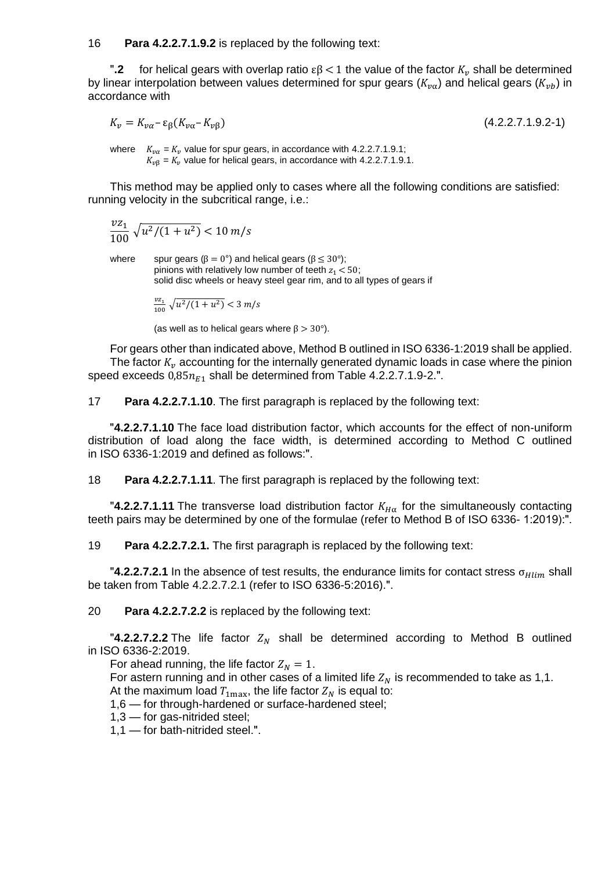16 **Para 4.2.2.7.1.9.2** is replaced by the following text:

**.2** for helical gears with overlap ratio  $εβ < 1$  the value of the factor  $K_v$  shall be determined by linear interpolation between values determined for spur gears  $(K_{n\alpha})$  and helical gears  $(K_{n\alpha})$  in accordance with

 $K_v = K_{v\alpha} - \varepsilon_\beta (K_{v\alpha} - K_{v\beta})$  (4.2.2.7.1.9.2-1)

where  $K_{\nu\alpha} = K_{\nu}$  value for spur gears, in accordance with 4.2.2.7.1.9.1;  $K_{\nu\beta} = K_{\nu}$  value for helical gears, in accordance with 4.2.2.7.1.9.1.

This method may be applied only to cases where all the following conditions are satisfied: running velocity in the subcritical range, i.e.:

$$
\frac{v z_1}{100} \sqrt{u^2/(1+u^2)} < 10 \, \text{m/s}
$$

where spur gears ( $\beta = 0^{\circ}$ ) and helical gears ( $\beta \leq 30^{\circ}$ ); pinions with relatively low number of teeth  $z_1 < 50$ ; solid disc wheels or heavy steel gear rim, and to all types of gears if

$$
\frac{v z_1}{100} \sqrt{u^2/(1+u^2)} < 3 \, m/s
$$

(as well as to helical gears where  $\beta > 30^{\circ}$ ).

For gears other than indicated above, Method B outlined in ISO 6336-1:2019 shall be applied. The factor  $K_v$  accounting for the internally generated dynamic loads in case where the pinion speed exceeds  $0.85n_{E1}$  shall be determined from Table 4.2.2.7.1.9-2.".

17 **Para 4.2.2.7.1.10**. The first paragraph is replaced by the following text:

ʺ**4.2.2.7.1.10** The face load distribution factor, which accounts for the effect of non-uniform distribution of load along the face width, is determined according to Method C outlined in ISO 6336-1:2019 and defined as follows:".

18 **Para 4.2.2.7.1.11**. The first paragraph is replaced by the following text:

**4.2.2.7.1.11** The transverse load distribution factor  $K_{H\alpha}$  for the simultaneously contacting teeth pairs may be determined by one of the formulae (refer to Method B of ISO 6336-1:2019):".

19 **Para 4.2.2.7.2.1.** The first paragraph is replaced by the following text:

 $^{\prime\prime}$ **4.2.2.7.2.1** In the absence of test results, the endurance limits for contact stress  $\sigma_{Hlim}$  shall be taken from Table 4.2.2.7.2.1 (refer to ISO 6336-5:2016).".

20 **Para 4.2.2.7.2.2** is replaced by the following text:

**"4.2.2.7.2.2** The life factor  $Z_N$  shall be determined according to Method B outlined in ISO 6336-2:2019.

For ahead running, the life factor  $Z_N = 1$ .

For astern running and in other cases of a limited life  $Z_N$  is recommended to take as 1,1.

At the maximum load  $T_{\text{1max}}$ , the life factor  $Z_N$  is equal to:

1,6 — for through-hardened or surface-hardened steel;

1,3 — for gas-nitrided steel;

 $1,1$  — for bath-nitrided steel.".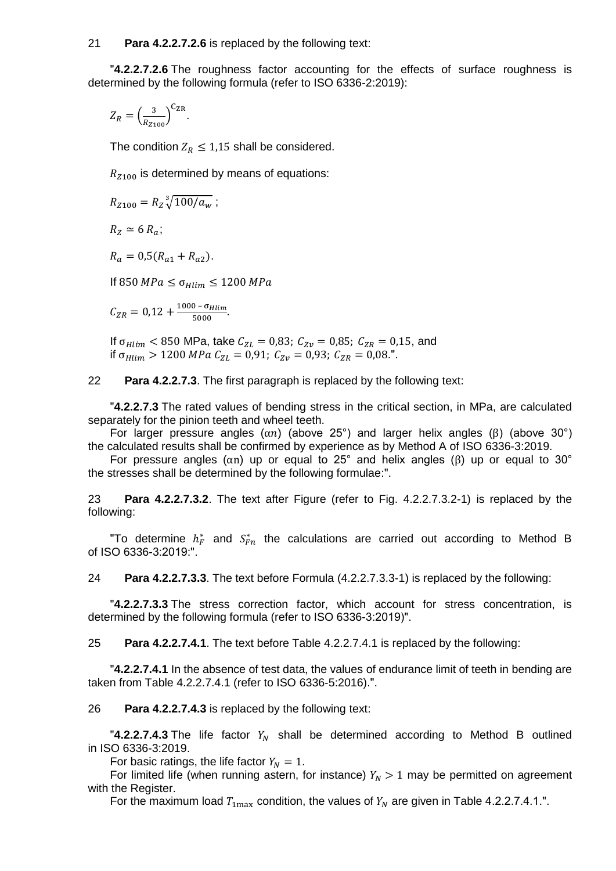#### 21 **Para 4.2.2.7.2.6** is replaced by the following text:

**4.2.2.7.2.6** The roughness factor accounting for the effects of surface roughness is determined by the following formula (refer to ISO 6336-2:2019):

$$
Z_R = \left(\frac{3}{R_{Z100}}\right)^{C_{\text{ZR}}}.
$$

The condition  $Z_R \leq 1.15$  shall be considered.

 $R_{Z100}$  is determined by means of equations:

$$
R_{Z100} = R_Z \sqrt[3]{100/a_w};
$$

 $R_z \simeq 6 R_a$ ;

 $R_a = 0.5(R_{a1} + R_{a2}).$ 

If 850  $MPa \leq \sigma_{Hlim} \leq 1200 MPa$ 

 $C_{ZR} = 0.12 + \frac{1000 - \sigma_{Hlim}}{5000}$  $\frac{6 - 6 \text{H} \cdot \text{H} \cdot \text{H}}{5000}$ .

If  $\sigma_{Hlim}$  < 850 MPa, take  $C_{ZL}$  = 0,83;  $C_{Zv}$  = 0,85;  $C_{ZR}$  = 0,15, and if  $\sigma_{Hlim} > 1200 \text{ MPa } C_{ZL} = 0.91$ ;  $C_{Zv} = 0.93$ ;  $C_{ZR} = 0.08$ .".

22 **Para 4.2.2.7.3**. The first paragraph is replaced by the following text:

ʺ**4.2.2.7.3** The rated values of bending stress in the critical section, in MPa, are calculated separately for the pinion teeth and wheel teeth.

For larger pressure angles  $(αn)$  (above 25°) and larger helix angles (β) (above 30°) the calculated results shall be confirmed by experience as by Method A of ISO 6336-3:2019.

For pressure angles ( $\alpha$ n) up or equal to 25° and helix angles ( $\beta$ ) up or equal to 30° the stresses shall be determined by the following formulae:".

23 **Para 4.2.2.7.3.2**. The text after Figure (refer to Fig. 4.2.2.7.3.2-1) is replaced by the following:

"To determine  $h_F^*$  and  $S_{Fn}^*$  the calculations are carried out according to Method B of ISO 6336-3:2019:".

24 **Para 4.2.2.7.3.3**. The text before Formula (4.2.2.7.3.3-1) is replaced by the following:

ʺ**4.2.2.7.3.3** The stress correction factor, which account for stress concentration, is determined by the following formula (refer to ISO 6336-3:2019)".

25 **Para 4.2.2.7.4.1**. The text before Table 4.2.2.7.4.1 is replaced by the following:

ʺ**4.2.2.7.4.1** In the absence of test data, the values of endurance limit of teeth in bending are taken from Table 4.2.2.7.4.1 (refer to ISO 6336-5:2016).".

26 **Para 4.2.2.7.4.3** is replaced by the following text:

**"4.2.2.7.4.3** The life factor  $Y_N$  shall be determined according to Method B outlined in ISO 6336-3:2019.

For basic ratings, the life factor  $Y_N = 1$ .

For limited life (when running astern, for instance)  $Y_N > 1$  may be permitted on agreement with the Register.

For the maximum load  $T_{1\text{max}}$  condition, the values of  $Y_N$  are given in Table 4.2.2.7.4.1.".